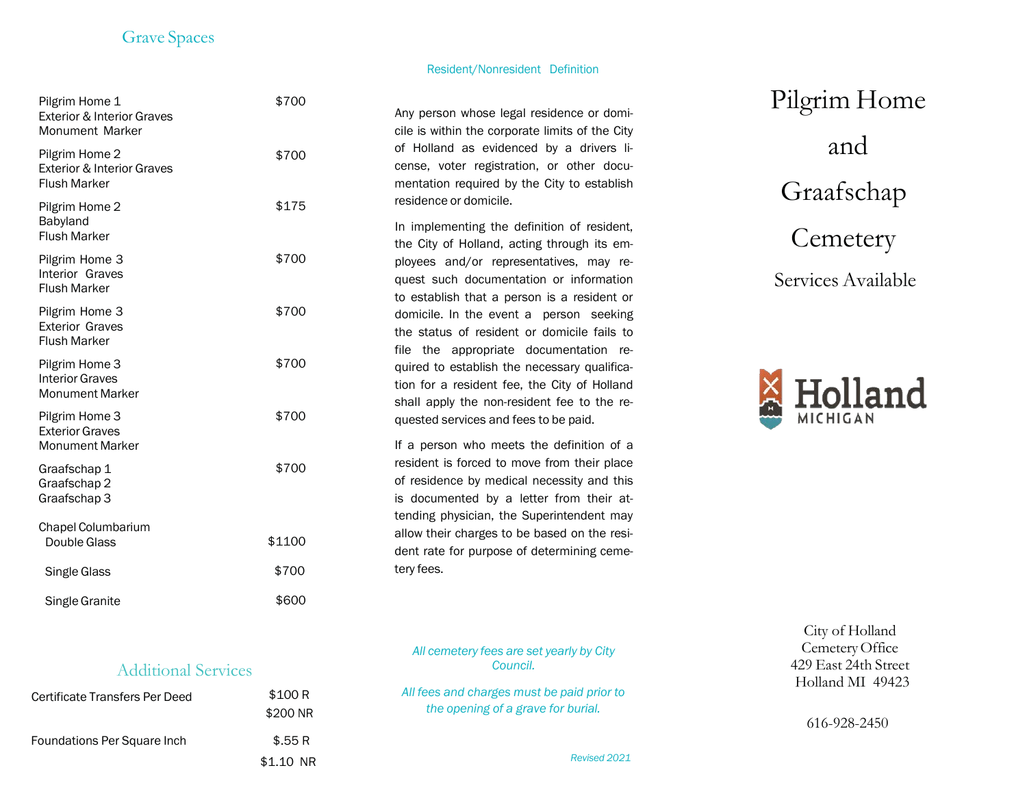## Grave Spaces

 $+700$ 

Pilgrim Home 1

Resident/Nonresident Definition

| <b>Pligrim Home T</b><br><b>Exterior &amp; Interior Graves</b><br><b>Monument Marker</b> | DU V ¢ |
|------------------------------------------------------------------------------------------|--------|
| Pilgrim Home 2<br>Exterior & Interior Graves<br><b>Flush Marker</b>                      | \$700  |
| Pilgrim Home 2<br>Babyland<br><b>Flush Marker</b>                                        | \$175  |
| Pilgrim Home 3<br>Interior Graves<br><b>Flush Marker</b>                                 | \$700  |
| Pilgrim Home 3<br><b>Exterior Graves</b><br><b>Flush Marker</b>                          | \$700  |
| Pilgrim Home 3<br><b>Interior Graves</b><br><b>Monument Marker</b>                       | \$700  |
| Pilgrim Home 3<br><b>Exterior Graves</b><br><b>Monument Marker</b>                       | \$700  |
| Graafschap 1<br>Graafschap 2<br>Graafschap 3                                             | \$700  |
| Chapel Columbarium<br>Double Glass                                                       | \$1100 |
| Single Glass                                                                             | \$700  |
| Single Granite                                                                           | \$600  |

Any person whose legal residence or domi cile is within the corporate limits of the City of Holland as evidenced by a drivers li cense, voter registration, or other docu mentation required by the City to establish residence or domicile.

In implementing the d efinition of resident, the City of Holland, acting through its em ployees and/or representatives, may re quest such documentation or information to establish that a person is a resident or domicile. In the event a person seeking the status of resident or domicile fails to file the appropriate documentation re quired to establish the necessary qualifica tion for a resident fee, the City of Holland shall apply the non -resident fee to the re quested services and fees to be paid.

If a person who meets the definition of a resident is forced to move from their place of residence by medical necessity and this is documented by a letter from their at tending physician, the Superintendent may allow their charges to be based on the resi dent rate for purpose of determining ceme tery fees.

*All cemetery fees are set yearly by City Council.*

*All fees and charges must be paid prior to the opening of a grave for burial.*

## Pilgrim Home and Graafschap **Cemetery**

Services Available



City of Holland CemeteryOffice 429 East 24th Street Holland MI 49423

616-92 8-24 5 0

## Additional Services

| Certificate Transfers Per Deed     | \$100 R   |  |
|------------------------------------|-----------|--|
|                                    | \$200 NR  |  |
| <b>Foundations Per Square Inch</b> | \$.55R    |  |
|                                    | \$1.10 NR |  |

\$1.10 NR *Revised <sup>20</sup><sup>21</sup>*